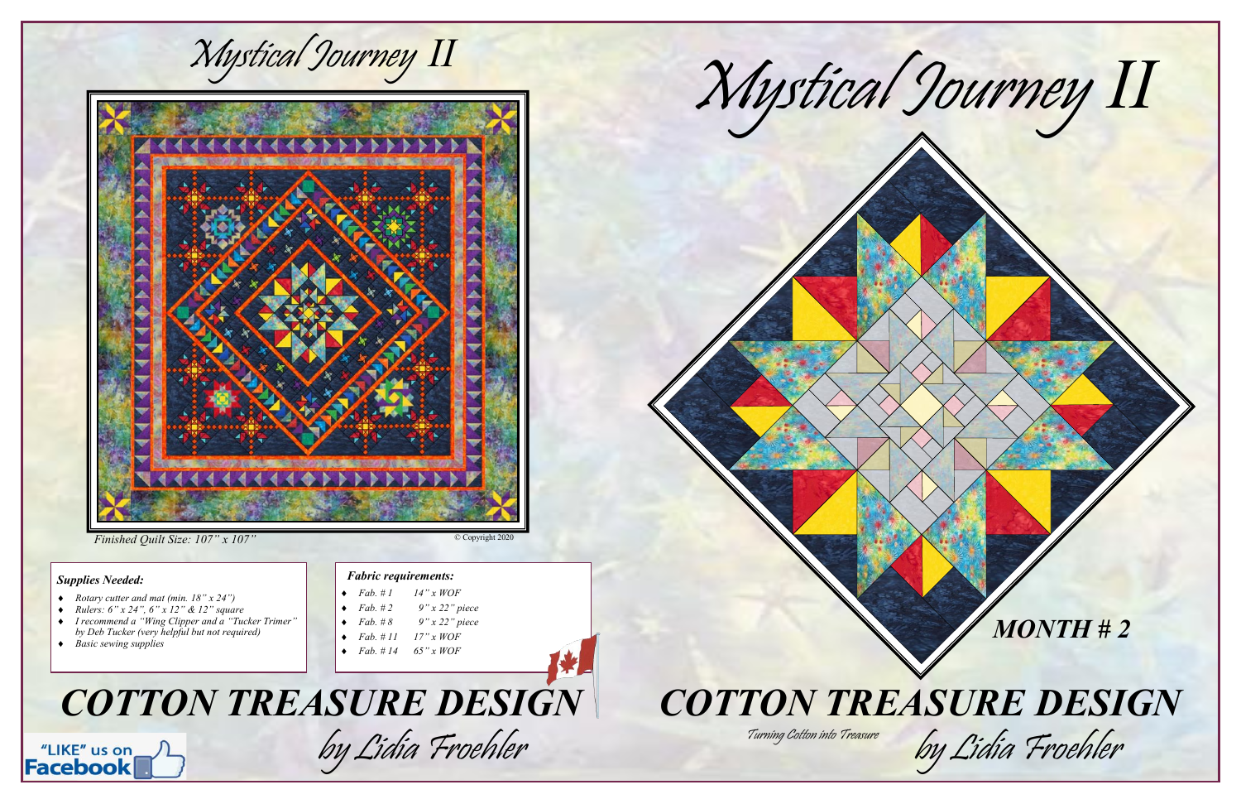Mystical Journey *II*



# *Finished Quilt Size: 107" x 107"*

### *Supplies Needed:*



- *Rotary cutter and mat (min. 18" x 24")*
- *Rulers: 6" x 24", 6" x 12" & 12" square*
- *I recommend a "Wing Clipper and a "Tucker Trimer" by Deb Tucker (very helpful but not required)*
- *Basic sewing supplies*

### *Fabric requirements:*

#### © Copyright 2020

# *COTTON TREASURE DESIGN*



**Facebook** By Lidia Froehler

- *Fab. # 1 14" x WOF*
- *Fab. # 2 9" x 22" piece*
- *Fab. # 8 9" x 22" piece*
- *Fab. # 11 17" x WOF*
- *Fab. # 14 65" x WOF*

Turning Cotton into Treasure